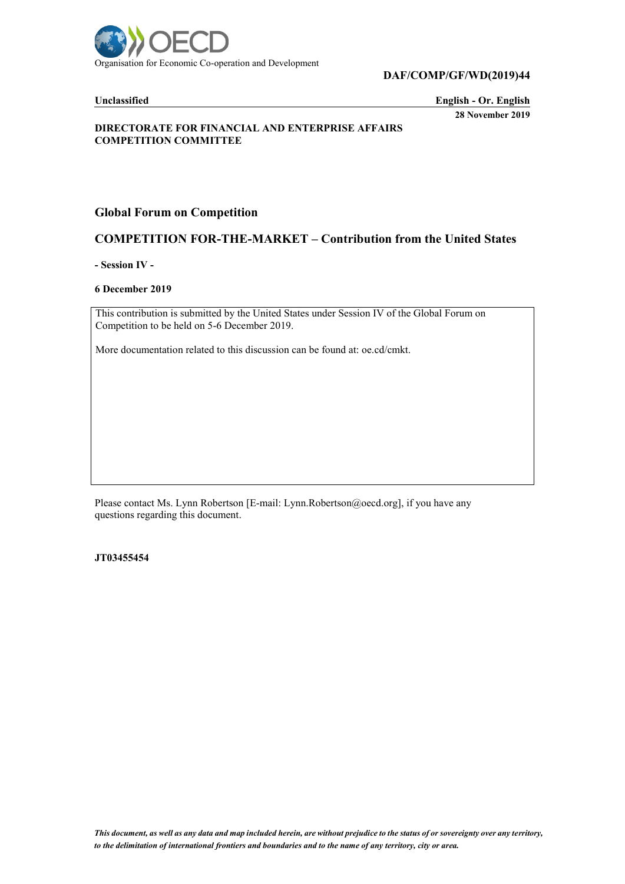

**DAF/COMP/GF/WD(2019)44**

**Unclassified English - Or. English 28 November 2019**

#### **DIRECTORATE FOR FINANCIAL AND ENTERPRISE AFFAIRS COMPETITION COMMITTEE**

## **Global Forum on Competition**

## **COMPETITION FOR-THE-MARKET – Contribution from the United States**

**- Session IV -**

#### **6 December 2019**

This contribution is submitted by the United States under Session IV of the Global Forum on Competition to be held on 5-6 December 2019.

More documentation related to this discussion can be found at: oe.cd/cmkt.

Please contact Ms. Lynn Robertson [E-mail: Lynn.Robertson@oecd.org], if you have any questions regarding this document.

**JT03455454**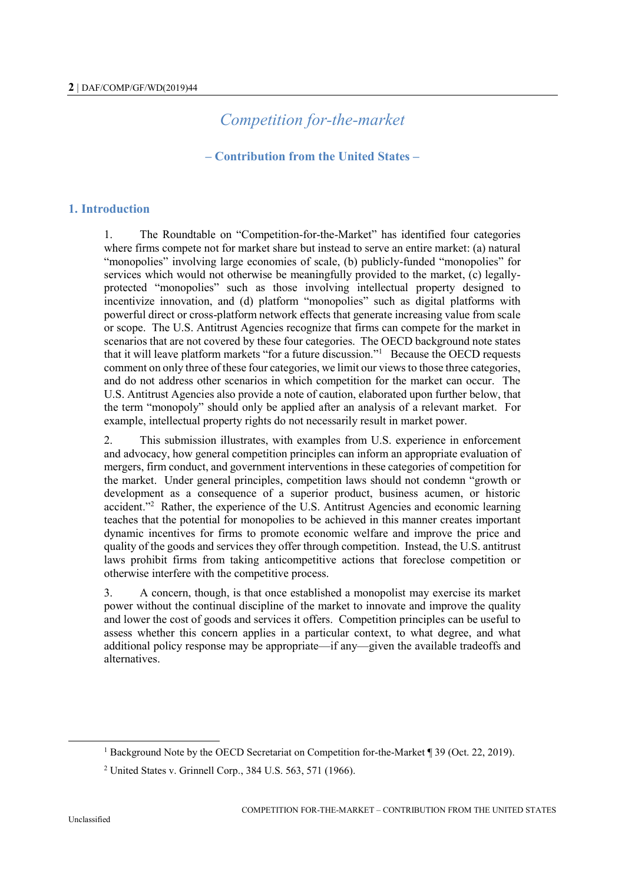# *Competition for-the-market*

#### **– Contribution from the United States –**

#### **1. Introduction**

1. The Roundtable on "Competition-for-the-Market" has identified four categories where firms compete not for market share but instead to serve an entire market: (a) natural "monopolies" involving large economies of scale, (b) publicly-funded "monopolies" for services which would not otherwise be meaningfully provided to the market, (c) legallyprotected "monopolies" such as those involving intellectual property designed to incentivize innovation, and (d) platform "monopolies" such as digital platforms with powerful direct or cross-platform network effects that generate increasing value from scale or scope. The U.S. Antitrust Agencies recognize that firms can compete for the market in scenarios that are not covered by these four categories. The OECD background note states that it will leave platform markets "for a future discussion."<sup>1</sup> Because the OECD requests comment on only three of these four categories, we limit our views to those three categories, and do not address other scenarios in which competition for the market can occur. The U.S. Antitrust Agencies also provide a note of caution, elaborated upon further below, that the term "monopoly" should only be applied after an analysis of a relevant market. For example, intellectual property rights do not necessarily result in market power.

2. This submission illustrates, with examples from U.S. experience in enforcement and advocacy, how general competition principles can inform an appropriate evaluation of mergers, firm conduct, and government interventions in these categories of competition for the market. Under general principles, competition laws should not condemn "growth or development as a consequence of a superior product, business acumen, or historic accident."<sup>2</sup> Rather, the experience of the U.S. Antitrust Agencies and economic learning teaches that the potential for monopolies to be achieved in this manner creates important dynamic incentives for firms to promote economic welfare and improve the price and quality of the goods and services they offer through competition. Instead, the U.S. antitrust laws prohibit firms from taking anticompetitive actions that foreclose competition or otherwise interfere with the competitive process.

3. A concern, though, is that once established a monopolist may exercise its market power without the continual discipline of the market to innovate and improve the quality and lower the cost of goods and services it offers. Competition principles can be useful to assess whether this concern applies in a particular context, to what degree, and what additional policy response may be appropriate—if any—given the available tradeoffs and alternatives.

<sup>&</sup>lt;sup>1</sup> Background Note by the OECD Secretariat on Competition for-the-Market ¶ 39 (Oct. 22, 2019).

<sup>2</sup> United States v. Grinnell Corp., 384 U.S. 563, 571 (1966).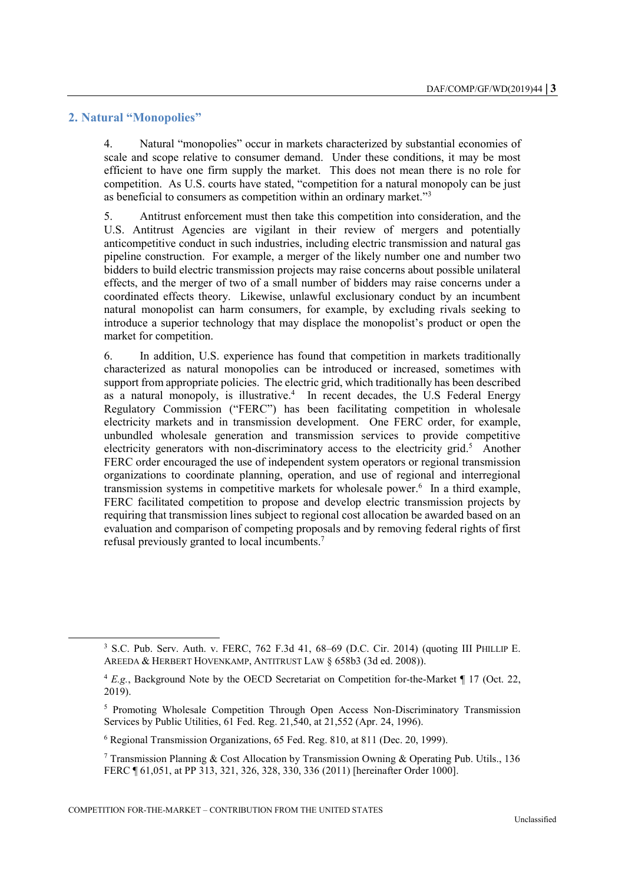#### **2. Natural "Monopolies"**

l

4. Natural "monopolies" occur in markets characterized by substantial economies of scale and scope relative to consumer demand. Under these conditions, it may be most efficient to have one firm supply the market. This does not mean there is no role for competition. As U.S. courts have stated, "competition for a natural monopoly can be just as beneficial to consumers as competition within an ordinary market."<sup>3</sup>

5. Antitrust enforcement must then take this competition into consideration, and the U.S. Antitrust Agencies are vigilant in their review of mergers and potentially anticompetitive conduct in such industries, including electric transmission and natural gas pipeline construction. For example, a merger of the likely number one and number two bidders to build electric transmission projects may raise concerns about possible unilateral effects, and the merger of two of a small number of bidders may raise concerns under a coordinated effects theory. Likewise, unlawful exclusionary conduct by an incumbent natural monopolist can harm consumers, for example, by excluding rivals seeking to introduce a superior technology that may displace the monopolist's product or open the market for competition.

6. In addition, U.S. experience has found that competition in markets traditionally characterized as natural monopolies can be introduced or increased, sometimes with support from appropriate policies. The electric grid, which traditionally has been described as a natural monopoly, is illustrative. 4 In recent decades, the U.S Federal Energy Regulatory Commission ("FERC") has been facilitating competition in wholesale electricity markets and in transmission development. One FERC order, for example, unbundled wholesale generation and transmission services to provide competitive electricity generators with non-discriminatory access to the electricity grid.<sup>5</sup> Another FERC order encouraged the use of independent system operators or regional transmission organizations to coordinate planning, operation, and use of regional and interregional transmission systems in competitive markets for wholesale power.<sup>6</sup> In a third example, FERC facilitated competition to propose and develop electric transmission projects by requiring that transmission lines subject to regional cost allocation be awarded based on an evaluation and comparison of competing proposals and by removing federal rights of first refusal previously granted to local incumbents.<sup>7</sup>

<sup>3</sup> S.C. Pub. Serv. Auth. v. FERC, 762 F.3d 41, 68–69 (D.C. Cir. 2014) (quoting III PHILLIP E. AREEDA & HERBERT HOVENKAMP, ANTITRUST LAW § 658b3 (3d ed. 2008)).

<sup>4</sup> *E.g.*, Background Note by the OECD Secretariat on Competition for-the-Market ¶ 17 (Oct. 22, 2019).

<sup>5</sup> Promoting Wholesale Competition Through Open Access Non-Discriminatory Transmission Services by Public Utilities, 61 Fed. Reg. 21,540, at 21,552 (Apr. 24, 1996).

<sup>6</sup> Regional Transmission Organizations, 65 Fed. Reg. 810, at 811 (Dec. 20, 1999).

<sup>&</sup>lt;sup>7</sup> Transmission Planning & Cost Allocation by Transmission Owning & Operating Pub. Utils., 136 FERC ¶ 61,051, at PP 313, 321, 326, 328, 330, 336 (2011) [hereinafter Order 1000].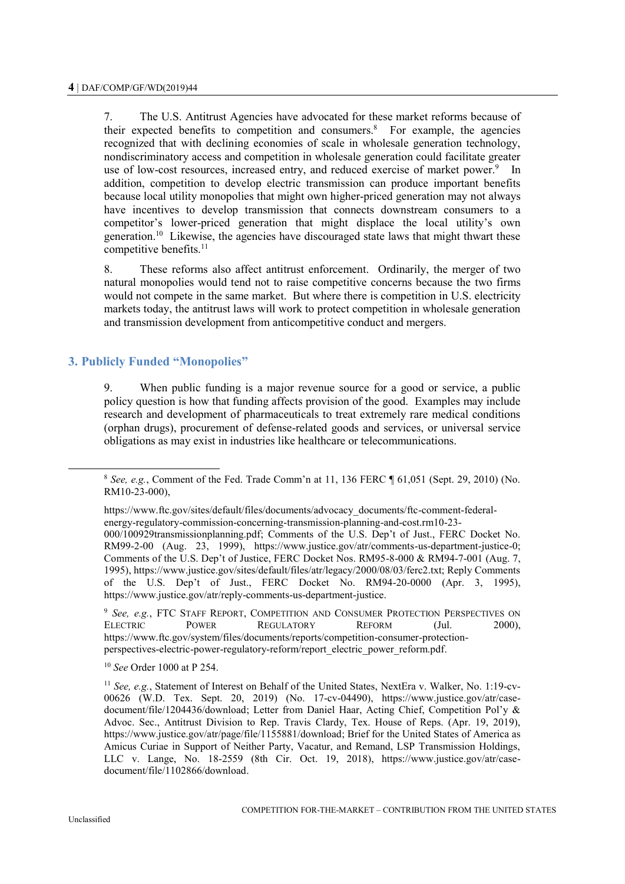7. The U.S. Antitrust Agencies have advocated for these market reforms because of their expected benefits to competition and consumers.<sup>8</sup> For example, the agencies recognized that with declining economies of scale in wholesale generation technology, nondiscriminatory access and competition in wholesale generation could facilitate greater use of low-cost resources, increased entry, and reduced exercise of market power.<sup>9</sup> In addition, competition to develop electric transmission can produce important benefits because local utility monopolies that might own higher-priced generation may not always have incentives to develop transmission that connects downstream consumers to a competitor's lower-priced generation that might displace the local utility's own generation.<sup>10</sup> Likewise, the agencies have discouraged state laws that might thwart these competitive benefits.<sup>11</sup>

8. These reforms also affect antitrust enforcement. Ordinarily, the merger of two natural monopolies would tend not to raise competitive concerns because the two firms would not compete in the same market. But where there is competition in U.S. electricity markets today, the antitrust laws will work to protect competition in wholesale generation and transmission development from anticompetitive conduct and mergers.

## **3. Publicly Funded "Monopolies"**

9. When public funding is a major revenue source for a good or service, a public policy question is how that funding affects provision of the good. Examples may include research and development of pharmaceuticals to treat extremely rare medical conditions (orphan drugs), procurement of defense-related goods and services, or universal service obligations as may exist in industries like healthcare or telecommunications.

https://www.ftc.gov/sites/default/files/documents/advocacy\_documents/ftc-comment-federalenergy-regulatory-commission-concerning-transmission-planning-and-cost.rm10-23- 000/100929transmissionplanning.pdf; Comments of the U.S. Dep't of Just., FERC Docket No. RM99-2-00 (Aug. 23, 1999), https://www.justice.gov/atr/comments-us-department-justice-0; Comments of the U.S. Dep't of Justice, FERC Docket Nos. RM95-8-000 & RM94-7-001 (Aug. 7, 1995), https://www.justice.gov/sites/default/files/atr/legacy/2000/08/03/ferc2.txt; Reply Comments of the U.S. Dep't of Just., FERC Docket No. RM94-20-0000 (Apr. 3, 1995), https://www.justice.gov/atr/reply-comments-us-department-justice.

<sup>9</sup> *See, e.g.*, FTC STAFF REPORT, COMPETITION AND CONSUMER PROTECTION PERSPECTIVES ON ELECTRIC POWER REGULATORY REFORM (Jul. 2000), https://www.ftc.gov/system/files/documents/reports/competition-consumer-protectionperspectives-electric-power-regulatory-reform/report\_electric\_power\_reform.pdf.

<sup>10</sup> *See* Order 1000 at P 254.

<sup>8</sup> *See, e.g.*, Comment of the Fed. Trade Comm'n at 11, 136 FERC ¶ 61,051 (Sept. 29, 2010) (No. RM10-23-000),

<sup>11</sup> *See, e.g.*, Statement of Interest on Behalf of the United States, NextEra v. Walker, No. 1:19-cv-00626 (W.D. Tex. Sept. 20, 2019) (No. 17-cv-04490), https://www.justice.gov/atr/casedocument/file/1204436/download; Letter from Daniel Haar, Acting Chief, Competition Pol'y & Advoc. Sec., Antitrust Division to Rep. Travis Clardy, Tex. House of Reps. (Apr. 19, 2019), https://www.justice.gov/atr/page/file/1155881/download; Brief for the United States of America as Amicus Curiae in Support of Neither Party, Vacatur, and Remand, LSP Transmission Holdings, LLC v. Lange, No. 18-2559 (8th Cir. Oct. 19, 2018), https://www.justice.gov/atr/casedocument/file/1102866/download.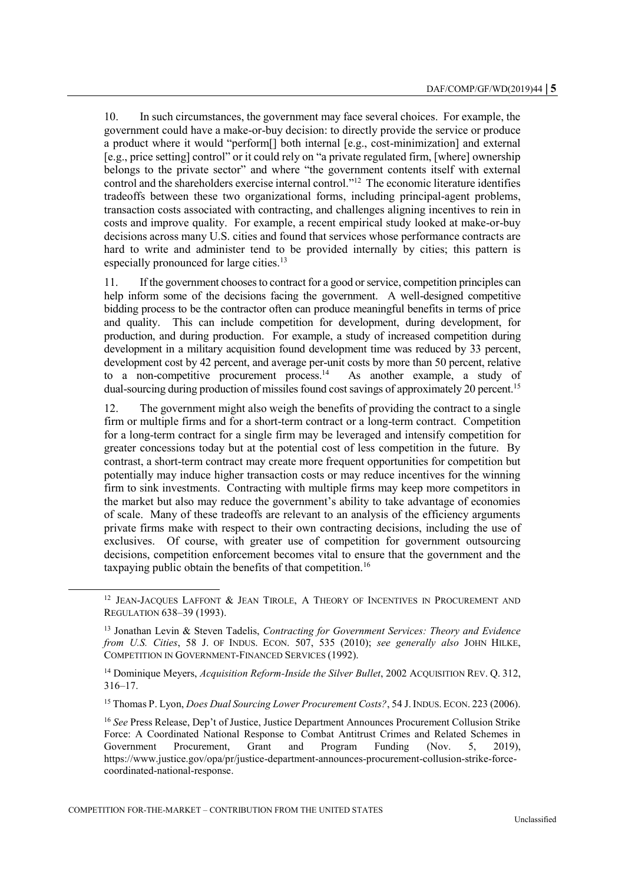10. In such circumstances, the government may face several choices. For example, the government could have a make-or-buy decision: to directly provide the service or produce a product where it would "perform[] both internal [e.g., cost-minimization] and external [e.g., price setting] control" or it could rely on "a private regulated firm, [where] ownership belongs to the private sector" and where "the government contents itself with external control and the shareholders exercise internal control."<sup>12</sup> The economic literature identifies tradeoffs between these two organizational forms, including principal-agent problems, transaction costs associated with contracting, and challenges aligning incentives to rein in costs and improve quality. For example, a recent empirical study looked at make-or-buy decisions across many U.S. cities and found that services whose performance contracts are hard to write and administer tend to be provided internally by cities; this pattern is especially pronounced for large cities.<sup>13</sup>

11. If the government chooses to contract for a good or service, competition principles can help inform some of the decisions facing the government. A well-designed competitive bidding process to be the contractor often can produce meaningful benefits in terms of price and quality. This can include competition for development, during development, for production, and during production. For example, a study of increased competition during development in a military acquisition found development time was reduced by 33 percent, development cost by 42 percent, and average per-unit costs by more than 50 percent, relative to a non-competitive procurement process.<sup>14</sup> As another example, a study of dual-sourcing during production of missiles found cost savings of approximately 20 percent.<sup>15</sup>

12. The government might also weigh the benefits of providing the contract to a single firm or multiple firms and for a short-term contract or a long-term contract. Competition for a long-term contract for a single firm may be leveraged and intensify competition for greater concessions today but at the potential cost of less competition in the future. By contrast, a short-term contract may create more frequent opportunities for competition but potentially may induce higher transaction costs or may reduce incentives for the winning firm to sink investments. Contracting with multiple firms may keep more competitors in the market but also may reduce the government's ability to take advantage of economies of scale. Many of these tradeoffs are relevant to an analysis of the efficiency arguments private firms make with respect to their own contracting decisions, including the use of exclusives. Of course, with greater use of competition for government outsourcing decisions, competition enforcement becomes vital to ensure that the government and the taxpaying public obtain the benefits of that competition.<sup>16</sup>

<sup>14</sup> Dominique Meyers, *Acquisition Reform-Inside the Silver Bullet*, 2002 ACQUISITION REV. Q. 312, 316–17.

<sup>15</sup> Thomas P. Lyon, *Does Dual Sourcing Lower Procurement Costs?*, 54 J.INDUS. ECON. 223 (2006).

<sup>&</sup>lt;sup>12</sup> JEAN-JACOUES LAFFONT & JEAN TIROLE, A THEORY OF INCENTIVES IN PROCUREMENT AND REGULATION 638–39 (1993).

<sup>13</sup> Jonathan Levin & Steven Tadelis, *Contracting for Government Services: Theory and Evidence from U.S. Cities*, 58 J. OF INDUS. ECON. 507, 535 (2010); *see generally also* JOHN HILKE, COMPETITION IN GOVERNMENT-FINANCED SERVICES (1992).

<sup>16</sup> *See* Press Release, Dep't of Justice, Justice Department Announces Procurement Collusion Strike Force: A Coordinated National Response to Combat Antitrust Crimes and Related Schemes in Government Procurement, Grant and Program Funding (Nov. 5, 2019), https://www.justice.gov/opa/pr/justice-department-announces-procurement-collusion-strike-forcecoordinated-national-response.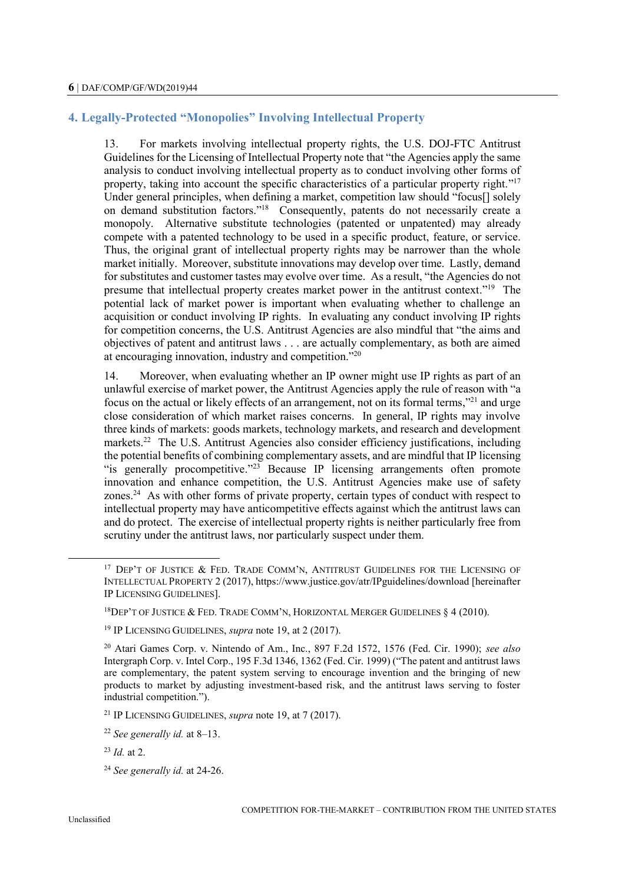# **4. Legally-Protected "Monopolies" Involving Intellectual Property**

13. For markets involving intellectual property rights, the U.S. DOJ-FTC Antitrust Guidelines for the Licensing of Intellectual Property note that "the Agencies apply the same analysis to conduct involving intellectual property as to conduct involving other forms of property, taking into account the specific characteristics of a particular property right."<sup>17</sup> Under general principles, when defining a market, competition law should "focus<sup>[]</sup> solely on demand substitution factors."<sup>18</sup> Consequently, patents do not necessarily create a monopoly. Alternative substitute technologies (patented or unpatented) may already compete with a patented technology to be used in a specific product, feature, or service. Thus, the original grant of intellectual property rights may be narrower than the whole market initially. Moreover, substitute innovations may develop over time. Lastly, demand for substitutes and customer tastes may evolve over time. As a result, "the Agencies do not presume that intellectual property creates market power in the antitrust context."<sup>19</sup> The potential lack of market power is important when evaluating whether to challenge an acquisition or conduct involving IP rights. In evaluating any conduct involving IP rights for competition concerns, the U.S. Antitrust Agencies are also mindful that "the aims and objectives of patent and antitrust laws . . . are actually complementary, as both are aimed at encouraging innovation, industry and competition."<sup>20</sup>

14. Moreover, when evaluating whether an IP owner might use IP rights as part of an unlawful exercise of market power, the Antitrust Agencies apply the rule of reason with "a focus on the actual or likely effects of an arrangement, not on its formal terms,"<sup>21</sup> and urge close consideration of which market raises concerns. In general, IP rights may involve three kinds of markets: goods markets, technology markets, and research and development markets.<sup>22</sup> The U.S. Antitrust Agencies also consider efficiency justifications, including the potential benefits of combining complementary assets, and are mindful that IP licensing "is generally procompetitive."<sup>23</sup> Because IP licensing arrangements often promote innovation and enhance competition, the U.S. Antitrust Agencies make use of safety zones.<sup>24</sup> As with other forms of private property, certain types of conduct with respect to intellectual property may have anticompetitive effects against which the antitrust laws can and do protect. The exercise of intellectual property rights is neither particularly free from scrutiny under the antitrust laws, nor particularly suspect under them.

<sup>21</sup> IP LICENSING GUIDELINES, *supra* note 19, at 7 (2017).

<sup>&</sup>lt;sup>17</sup> DEP'T OF JUSTICE & FED. TRADE COMM'N, ANTITRUST GUIDELINES FOR THE LICENSING OF INTELLECTUAL PROPERTY 2 (2017), https://www.justice.gov/atr/IPguidelines/download [hereinafter IP LICENSING GUIDELINES].

<sup>&</sup>lt;sup>18</sup>DEP'T OF JUSTICE & FED. TRADE COMM'N, HORIZONTAL MERGER GUIDELINES  $§$  4 (2010).

<sup>19</sup> IP LICENSING GUIDELINES, *supra* note 19, at 2 (2017).

<sup>20</sup> Atari Games Corp. v. Nintendo of Am., Inc., 897 F.2d 1572, 1576 (Fed. Cir. 1990); *see also*  Intergraph Corp. v. Intel Corp., 195 F.3d 1346, 1362 (Fed. Cir. 1999) ("The patent and antitrust laws are complementary, the patent system serving to encourage invention and the bringing of new products to market by adjusting investment-based risk, and the antitrust laws serving to foster industrial competition.").

<sup>22</sup> *See generally id.* at 8–13.

<sup>23</sup> *Id.* at 2.

<sup>24</sup> *See generally id.* at 24-26.